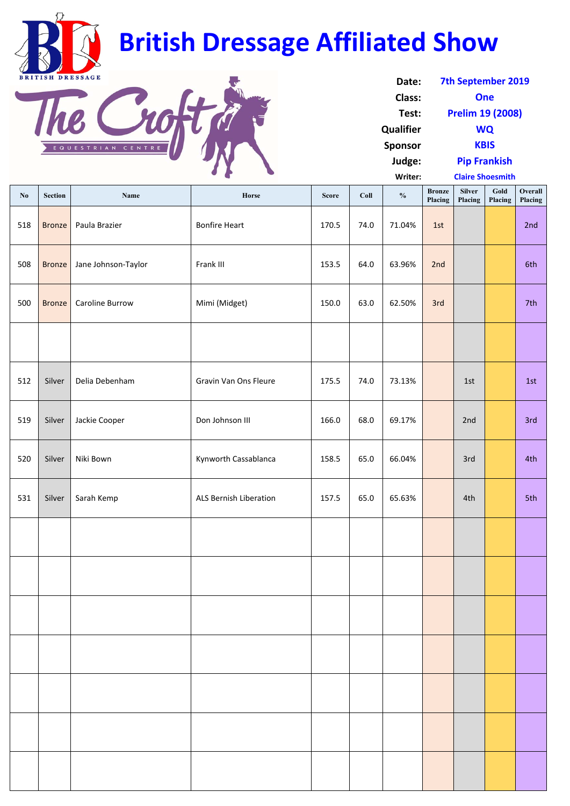| No  | <b>Section</b> | Name                   | Horse                         | <b>Score</b> | Coll | $\frac{0}{0}$ | <b>Bronze</b><br>Placing | <b>Silver</b><br>Placing | Gold<br>Placing | <b>Overall</b><br>Placing |
|-----|----------------|------------------------|-------------------------------|--------------|------|---------------|--------------------------|--------------------------|-----------------|---------------------------|
| 518 | <b>Bronze</b>  | Paula Brazier          | <b>Bonfire Heart</b>          | 170.5        | 74.0 | 71.04%        | 1st                      |                          |                 | 2nd                       |
| 508 | <b>Bronze</b>  | Jane Johnson-Taylor    | Frank III                     | 153.5        | 64.0 | 63.96%        | 2nd                      |                          |                 | 6th                       |
| 500 | <b>Bronze</b>  | <b>Caroline Burrow</b> | Mimi (Midget)                 | 150.0        | 63.0 | 62.50%        | 3rd                      |                          |                 | 7th                       |
|     |                |                        |                               |              |      |               |                          |                          |                 |                           |
| 512 | Silver         | Delia Debenham         | Gravin Van Ons Fleure         | 175.5        | 74.0 | 73.13%        |                          | 1st                      |                 | 1st                       |
| 519 | Silver         | Jackie Cooper          | Don Johnson III               | 166.0        | 68.0 | 69.17%        |                          | 2nd                      |                 | 3rd                       |
| 520 | Silver         | Niki Bown              | Kynworth Cassablanca          | 158.5        | 65.0 | 66.04%        |                          | 3rd                      |                 | 4th                       |
| 531 | Silver         | Sarah Kemp             | <b>ALS Bernish Liberation</b> | 157.5        | 65.0 | 65.63%        |                          | 4th                      |                 | 5th                       |
|     |                |                        |                               |              |      |               |                          |                          |                 |                           |
|     |                |                        |                               |              |      |               |                          |                          |                 |                           |
|     |                |                        |                               |              |      |               |                          |                          |                 |                           |
|     |                |                        |                               |              |      |               |                          |                          |                 |                           |
|     |                |                        |                               |              |      |               |                          |                          |                 |                           |
|     |                |                        |                               |              |      |               |                          |                          |                 |                           |
|     |                |                        |                               |              |      |               |                          |                          |                 |                           |

| Date:            | <b>7th September 2019</b> |  |  |  |  |
|------------------|---------------------------|--|--|--|--|
| Class:           | One                       |  |  |  |  |
| Test:            | <b>Prelim 19 (2008)</b>   |  |  |  |  |
| <b>Qualifier</b> | <b>WQ</b>                 |  |  |  |  |
| <b>Sponsor</b>   | <b>KBIS</b>               |  |  |  |  |
| Judge:           | <b>Pip Frankish</b>       |  |  |  |  |
| Writer:          | <b>Claire Shoesmith</b>   |  |  |  |  |



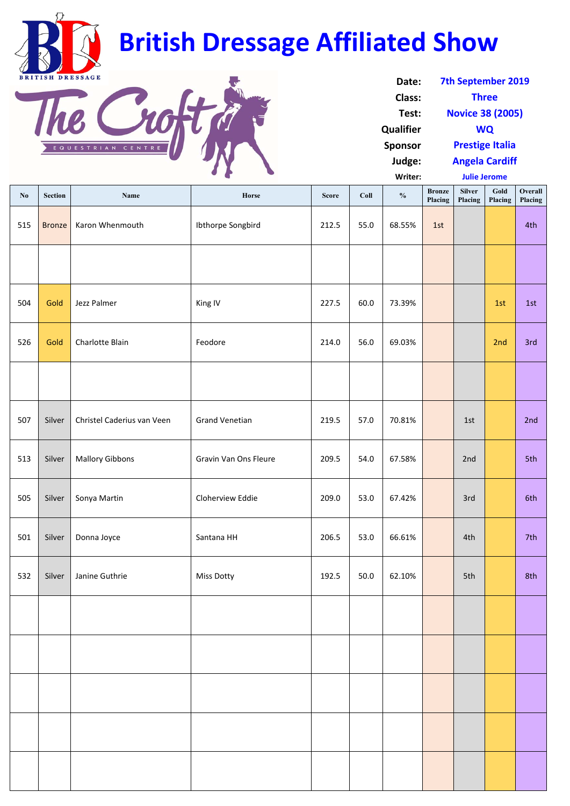| No  | <b>Section</b> | <b>Name</b>                | Horse                        | <b>Score</b> | Coll | $\frac{0}{0}$ | <b>Bronze</b><br>Placing | <b>Silver</b><br>Placing | Gold<br>Placing | Overall<br>Placing |
|-----|----------------|----------------------------|------------------------------|--------------|------|---------------|--------------------------|--------------------------|-----------------|--------------------|
| 515 | <b>Bronze</b>  | Karon Whenmouth            | Ibthorpe Songbird            | 212.5        | 55.0 | 68.55%        | 1st                      |                          |                 | 4th                |
|     |                |                            |                              |              |      |               |                          |                          |                 |                    |
| 504 | Gold           | Jezz Palmer                | King IV                      | 227.5        | 60.0 | 73.39%        |                          |                          | 1st             | 1st                |
| 526 | Gold           | Charlotte Blain            | Feodore                      | 214.0        | 56.0 | 69.03%        |                          |                          | 2nd             | 3rd                |
|     |                |                            |                              |              |      |               |                          |                          |                 |                    |
| 507 | Silver         | Christel Caderius van Veen | <b>Grand Venetian</b>        | 219.5        | 57.0 | 70.81%        |                          | 1st                      |                 | 2nd                |
| 513 | Silver         | <b>Mallory Gibbons</b>     | <b>Gravin Van Ons Fleure</b> | 209.5        | 54.0 | 67.58%        |                          | 2nd                      |                 | 5th                |
| 505 | Silver         | Sonya Martin               | Cloherview Eddie             | 209.0        | 53.0 | 67.42%        |                          | 3rd                      |                 | 6th                |
| 501 | Silver         | Donna Joyce                | Santana HH                   | 206.5        | 53.0 | 66.61%        |                          | 4th                      |                 | 7th                |
| 532 | Silver         | Janine Guthrie             | <b>Miss Dotty</b>            | 192.5        | 50.0 | 62.10%        |                          | 5th                      |                 | 8th                |
|     |                |                            |                              |              |      |               |                          |                          |                 |                    |
|     |                |                            |                              |              |      |               |                          |                          |                 |                    |
|     |                |                            |                              |              |      |               |                          |                          |                 |                    |
|     |                |                            |                              |              |      |               |                          |                          |                 |                    |
|     |                |                            |                              |              |      |               |                          |                          |                 |                    |

| Date:            | <b>7th September 2019</b> |  |  |  |  |
|------------------|---------------------------|--|--|--|--|
| <b>Class:</b>    | <b>Three</b>              |  |  |  |  |
| Test:            | <b>Novice 38 (2005)</b>   |  |  |  |  |
| <b>Qualifier</b> | <b>WQ</b>                 |  |  |  |  |
| <b>Sponsor</b>   | <b>Prestige Italia</b>    |  |  |  |  |
| Judge:           | <b>Angela Cardiff</b>     |  |  |  |  |
| Writer:          | <b>Julie Jerome</b>       |  |  |  |  |



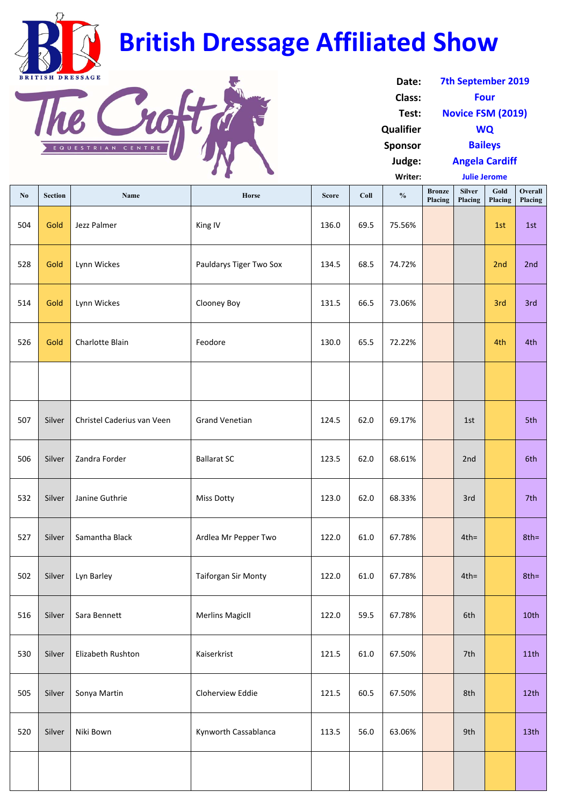| No  | <b>Section</b> | Name                       | Horse                      | <b>Score</b> | Coll | $\frac{0}{0}$ | <b>Bronze</b><br>Placing | <b>Silver</b><br>Placing | Gold<br>Placing | <b>Overall</b><br>Placing |
|-----|----------------|----------------------------|----------------------------|--------------|------|---------------|--------------------------|--------------------------|-----------------|---------------------------|
| 504 | Gold           | Jezz Palmer                | King IV                    | 136.0        | 69.5 | 75.56%        |                          |                          | 1st             | 1st                       |
| 528 | Gold           | Lynn Wickes                | Pauldarys Tiger Two Sox    | 134.5        | 68.5 | 74.72%        |                          |                          | 2nd             | 2nd                       |
| 514 | Gold           | Lynn Wickes                | <b>Clooney Boy</b>         | 131.5        | 66.5 | 73.06%        |                          |                          | 3rd             | 3rd                       |
| 526 | Gold           | Charlotte Blain            | Feodore                    | 130.0        | 65.5 | 72.22%        |                          |                          | 4th             | 4th                       |
|     |                |                            |                            |              |      |               |                          |                          |                 |                           |
| 507 | Silver         | Christel Caderius van Veen | <b>Grand Venetian</b>      | 124.5        | 62.0 | 69.17%        |                          | 1st                      |                 | 5th                       |
| 506 | Silver         | Zandra Forder              | <b>Ballarat SC</b>         | 123.5        | 62.0 | 68.61%        |                          | 2nd                      |                 | 6th                       |
| 532 | Silver         | Janine Guthrie             | <b>Miss Dotty</b>          | 123.0        | 62.0 | 68.33%        |                          | 3rd                      |                 | 7th                       |
| 527 | Silver         | Samantha Black             | Ardlea Mr Pepper Two       | 122.0        | 61.0 | 67.78%        |                          | $4th =$                  |                 | $8th =$                   |
| 502 | Silver         | Lyn Barley                 | <b>Taiforgan Sir Monty</b> | 122.0        | 61.0 | 67.78%        |                          | $4th =$                  |                 | $8th =$                   |
| 516 | Silver         | Sara Bennett               | <b>Merlins MagicII</b>     | 122.0        | 59.5 | 67.78%        |                          | 6th                      |                 | 10th                      |
| 530 | Silver         | Elizabeth Rushton          | Kaiserkrist                | 121.5        | 61.0 | 67.50%        |                          | 7th                      |                 | 11th                      |
| 505 | Silver         | Sonya Martin               | Cloherview Eddie           | 121.5        | 60.5 | 67.50%        |                          | 8th                      |                 | 12th                      |
| 520 | Silver         | Niki Bown                  | Kynworth Cassablanca       | 113.5        | 56.0 | 63.06%        |                          | 9th                      |                 | 13 <sub>th</sub>          |
|     |                |                            |                            |              |      |               |                          |                          |                 |                           |

| Date:            | <b>7th September 2019</b> |  |  |  |  |
|------------------|---------------------------|--|--|--|--|
| Class:           | Four                      |  |  |  |  |
| Test:            | <b>Novice FSM (2019)</b>  |  |  |  |  |
| <b>Qualifier</b> | WQ                        |  |  |  |  |
| <b>Sponsor</b>   | <b>Baileys</b>            |  |  |  |  |
| Judge:           | <b>Angela Cardiff</b>     |  |  |  |  |
| <b>Writer:</b>   | <b>Julie Jerome</b>       |  |  |  |  |



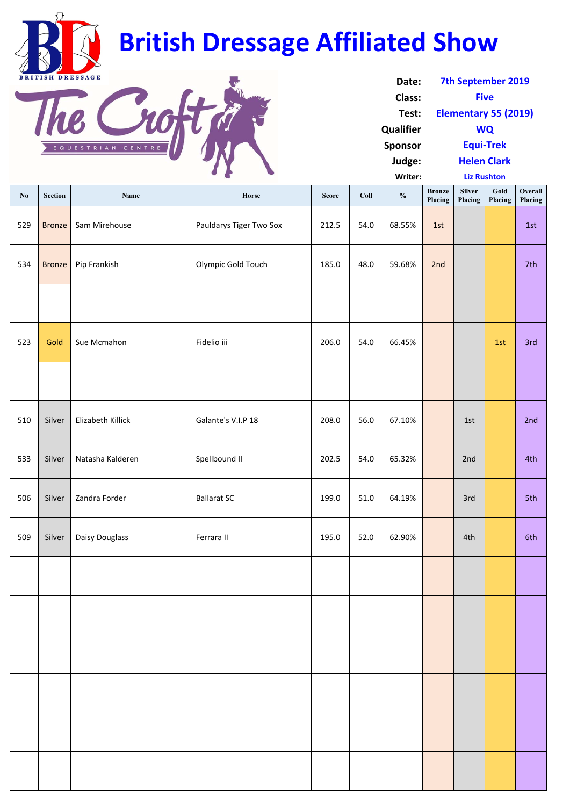| No  | <b>Section</b> | <b>Name</b>       | Horse                   | <b>Score</b> | Coll | $\frac{0}{0}$ | <b>Bronze</b><br>Placing | <b>Silver</b><br>Placing | Gold<br>Placing | Overall<br>Placing |
|-----|----------------|-------------------|-------------------------|--------------|------|---------------|--------------------------|--------------------------|-----------------|--------------------|
| 529 | <b>Bronze</b>  | Sam Mirehouse     | Pauldarys Tiger Two Sox | 212.5        | 54.0 | 68.55%        | 1st                      |                          |                 | 1st                |
| 534 | <b>Bronze</b>  | Pip Frankish      | Olympic Gold Touch      | 185.0        | 48.0 | 59.68%        | 2nd                      |                          |                 | 7th                |
|     |                |                   |                         |              |      |               |                          |                          |                 |                    |
| 523 | Gold           | Sue Mcmahon       | Fidelio iii             | 206.0        | 54.0 | 66.45%        |                          |                          | 1st             | 3rd                |
|     |                |                   |                         |              |      |               |                          |                          |                 |                    |
| 510 | Silver         | Elizabeth Killick | Galante's V.I.P 18      | 208.0        | 56.0 | 67.10%        |                          | 1st                      |                 | 2nd                |
| 533 | Silver         | Natasha Kalderen  | Spellbound II           | 202.5        | 54.0 | 65.32%        |                          | 2nd                      |                 | 4th                |
| 506 | Silver         | Zandra Forder     | <b>Ballarat SC</b>      | 199.0        | 51.0 | 64.19%        |                          | 3rd                      |                 | 5th                |
| 509 | Silver         | Daisy Douglass    | Ferrara II              | 195.0        | 52.0 | 62.90%        |                          | 4th                      |                 | 6th                |
|     |                |                   |                         |              |      |               |                          |                          |                 |                    |
|     |                |                   |                         |              |      |               |                          |                          |                 |                    |
|     |                |                   |                         |              |      |               |                          |                          |                 |                    |
|     |                |                   |                         |              |      |               |                          |                          |                 |                    |
|     |                |                   |                         |              |      |               |                          |                          |                 |                    |
|     |                |                   |                         |              |      |               |                          |                          |                 |                    |

| Date:            | <b>7th September 2019</b> |  |  |  |  |
|------------------|---------------------------|--|--|--|--|
| Class:           | <b>Five</b>               |  |  |  |  |
| Test:            | Elementary 55 (2019)      |  |  |  |  |
| <b>Qualifier</b> | WQ                        |  |  |  |  |
| <b>Sponsor</b>   | <b>Equi-Trek</b>          |  |  |  |  |
| Judge:           | <b>Helen Clark</b>        |  |  |  |  |
| Writer:          | <b>Liz Rushton</b>        |  |  |  |  |